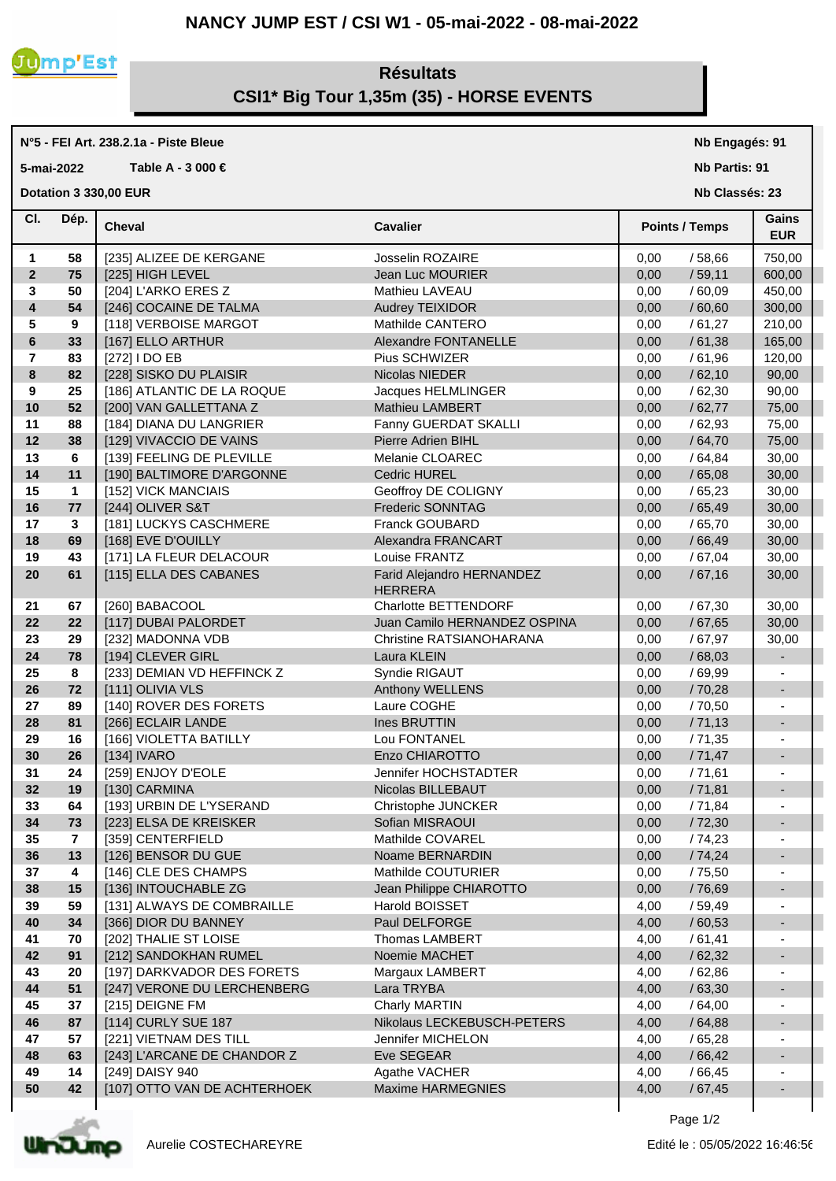### **NANCY JUMP EST / CSI W1 - 05-mai-2022 - 08-mai-2022**



## **Résultats CSI1\* Big Tour 1,35m (35) - HORSE EVENTS**

# **N°5 - FEI Art. 238.2.1a - Piste Bleue**

**5-mai-2022 Table A - 3 000 €**

**Dotation 3 330,00 EUR** 

**Nb Engagés: 91**

**Nb Partis: 91**

**Nb Classés: 23** 

| CI.                     | Dép.        | <b>Cheval</b>                | <b>Cavalier</b>                             | <b>Points / Temps</b> | Gains<br><b>EUR</b>      |
|-------------------------|-------------|------------------------------|---------------------------------------------|-----------------------|--------------------------|
| 1                       | 58          | [235] ALIZEE DE KERGANE      | Josselin ROZAIRE                            | 0,00<br>/ 58,66       | 750,00                   |
| $\overline{2}$          | 75          | [225] HIGH LEVEL             | Jean Luc MOURIER                            | /59,11<br>0,00        | 600,00                   |
| 3                       | 50          | [204] L'ARKO ERES Z          | Mathieu LAVEAU                              | 0,00<br>/60,09        | 450,00                   |
| $\overline{\mathbf{4}}$ | 54          | [246] COCAINE DE TALMA       | Audrey TEIXIDOR                             | 0,00<br>/60,60        | 300,00                   |
| 5                       | 9           | [118] VERBOISE MARGOT        | Mathilde CANTERO                            | 0,00<br>/61,27        | 210,00                   |
| 6                       | 33          | [167] ELLO ARTHUR            | Alexandre FONTANELLE                        | 0,00<br>/61,38        | 165,00                   |
| $\overline{7}$          | 83          | [272] I DO EB                | Pius SCHWIZER                               | 0,00<br>/61,96        | 120,00                   |
| 8                       | 82          | [228] SISKO DU PLAISIR       | Nicolas NIEDER                              | 0,00<br>/62,10        | 90,00                    |
| 9                       | 25          | [186] ATLANTIC DE LA ROQUE   | Jacques HELMLINGER                          | /62,30<br>0,00        | 90,00                    |
| 10                      | 52          | [200] VAN GALLETTANA Z       | Mathieu LAMBERT                             | 0,00<br>/62,77        | 75,00                    |
| 11                      | 88          | [184] DIANA DU LANGRIER      | Fanny GUERDAT SKALLI                        | 0,00<br>/62,93        | 75,00                    |
| 12                      | 38          | [129] VIVACCIO DE VAINS      | Pierre Adrien BIHL                          | /64,70<br>0,00        | 75,00                    |
| 13                      | 6           | [139] FEELING DE PLEVILLE    | Melanie CLOAREC                             | 0,00<br>/64,84        | 30,00                    |
| 14                      | 11          | [190] BALTIMORE D'ARGONNE    | <b>Cedric HUREL</b>                         | /65,08<br>0,00        | 30,00                    |
| 15                      | $\mathbf 1$ | [152] VICK MANCIAIS          | Geoffroy DE COLIGNY                         | 0,00<br>/65,23        | 30,00                    |
| 16                      | 77          | [244] OLIVER S&T             | Frederic SONNTAG                            | 0,00<br>/65,49        | 30,00                    |
| 17                      | 3           | [181] LUCKYS CASCHMERE       | Franck GOUBARD                              | 0,00<br>/65,70        | 30,00                    |
| 18                      | 69          | [168] EVE D'OUILLY           | Alexandra FRANCART                          | 0,00<br>/66,49        | 30,00                    |
| 19                      | 43          | [171] LA FLEUR DELACOUR      | Louise FRANTZ                               | 0,00<br>/67,04        | 30,00                    |
| 20                      | 61          | [115] ELLA DES CABANES       | Farid Alejandro HERNANDEZ<br><b>HERRERA</b> | /67,16<br>0,00        | 30,00                    |
| 21                      | 67          | [260] BABACOOL               | Charlotte BETTENDORF                        | /67,30<br>0,00        | 30,00                    |
| 22                      | 22          | [117] DUBAI PALORDET         | Juan Camilo HERNANDEZ OSPINA                | 0,00<br>/67,65        | 30,00                    |
| 23                      | 29          | [232] MADONNA VDB            | Christine RATSIANOHARANA                    | /67,97<br>0,00        | 30,00                    |
| 24                      | 78          | [194] CLEVER GIRL            | Laura KLEIN                                 | 0,00<br>/68,03        | -                        |
| 25                      | 8           | [233] DEMIAN VD HEFFINCK Z   | Syndie RIGAUT                               | /69,99<br>0,00        | ÷,                       |
| 26                      | 72          | [111] OLIVIA VLS             | Anthony WELLENS                             | 0,00<br>/70,28        | $\overline{\phantom{a}}$ |
| 27                      | 89          | [140] ROVER DES FORETS       | Laure COGHE                                 | 0,00<br>/70,50        | $\blacksquare$           |
| 28                      | 81          | [266] ECLAIR LANDE           | Ines BRUTTIN                                | /71,13<br>0,00        | $\overline{\phantom{a}}$ |
| 29                      | 16          | [166] VIOLETTA BATILLY       | Lou FONTANEL                                | 0,00<br>/71,35        | $\blacksquare$           |
| 30                      | 26          | [134] IVARO                  | Enzo CHIAROTTO                              | /71,47<br>0,00        |                          |
| 31                      | 24          | [259] ENJOY D'EOLE           | Jennifer HOCHSTADTER                        | 0,00<br>/71,61        | $\blacksquare$           |
| 32                      | 19          | [130] CARMINA                | Nicolas BILLEBAUT                           | 0,00<br>/71,81        |                          |
| 33                      | 64          | [193] URBIN DE L'YSERAND     | Christophe JUNCKER                          | 0,00<br>/71,84        | $\overline{\phantom{a}}$ |
| 34                      | 73          | [223] ELSA DE KREISKER       | Sofian MISRAOUI                             | 0,00<br>/72,30        |                          |
| 35                      | 7           | [359] CENTERFIELD            | Mathilde COVAREL                            | 0,00<br>/74,23        |                          |
| 36                      | 13          | [126] BENSOR DU GUE          | Noame BERNARDIN                             | 0,00<br>/74,24        |                          |
| 37                      | 4           | [146] CLE DES CHAMPS         | Mathilde COUTURIER                          | /75,50<br>0,00        |                          |
| 38                      | 15          | [136] INTOUCHABLE ZG         | Jean Philippe CHIAROTTO                     | /76,69<br>0,00        |                          |
| 39                      | 59          | [131] ALWAYS DE COMBRAILLE   | Harold BOISSET                              | /59,49<br>4,00        |                          |
| 40                      | 34          | [366] DIOR DU BANNEY         | Paul DELFORGE                               | 4,00<br>/60,53        |                          |
| 41                      | 70          | [202] THALIE ST LOISE        | Thomas LAMBERT                              | /61,41<br>4,00        | $\overline{\phantom{a}}$ |
| 42                      | 91          | [212] SANDOKHAN RUMEL        | Noemie MACHET                               | 4,00<br>/62,32        |                          |
| 43                      | 20          | [197] DARKVADOR DES FORETS   | Margaux LAMBERT                             | 4,00<br>/62,86        | $\overline{\phantom{a}}$ |
| 44                      | 51          | [247] VERONE DU LERCHENBERG  | Lara TRYBA                                  | 4,00<br>/63,30        |                          |
| 45                      | 37          | [215] DEIGNE FM              | Charly MARTIN                               | 4,00<br>/64,00        | $\overline{\phantom{a}}$ |
| 46                      | 87          | [114] CURLY SUE 187          | Nikolaus LECKEBUSCH-PETERS                  | 4,00<br>/64,88        |                          |
| 47                      | 57          | [221] VIETNAM DES TILL       | Jennifer MICHELON                           | 4,00<br>/65,28        | $\overline{\phantom{a}}$ |
| 48                      | 63          | [243] L'ARCANE DE CHANDOR Z  | Eve SEGEAR                                  | /66,42<br>4,00        |                          |
| 49                      | 14          | [249] DAISY 940              | Agathe VACHER                               | 4,00<br>/66,45        | $\overline{\phantom{a}}$ |
| 50                      | 42          | [107] OTTO VAN DE ACHTERHOEK | Maxime HARMEGNIES                           | /67,45<br>4,00        |                          |
|                         |             |                              |                                             |                       |                          |



 $\overline{\phantom{a}}$